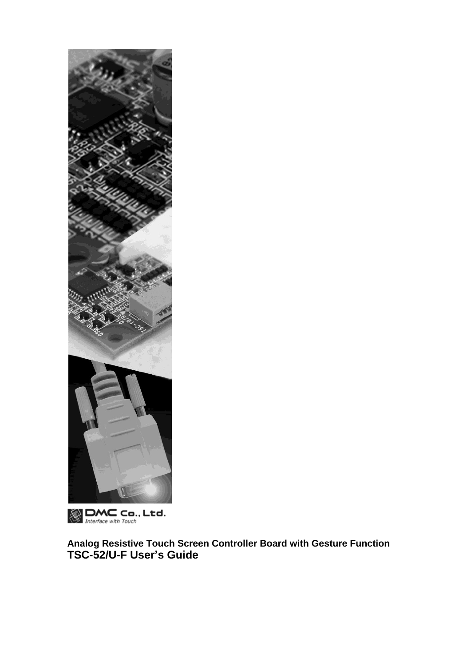

**DMC** Co., Ltd.

**Analog Resistive Touch Screen Controller Board with Gesture Function TSC-52/U-F User's Guide**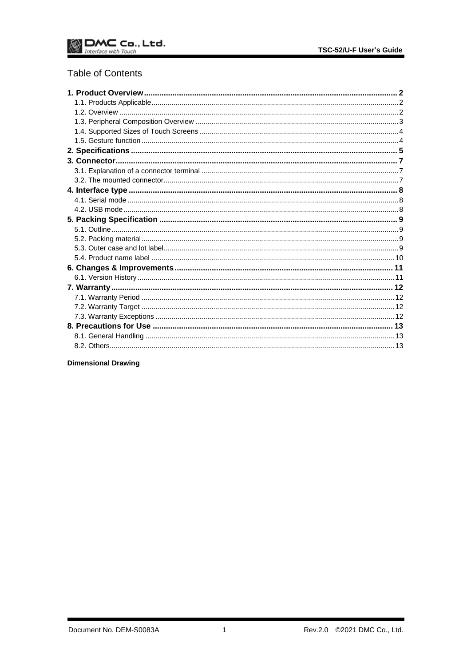# **Table of Contents**

### **Dimensional Drawing**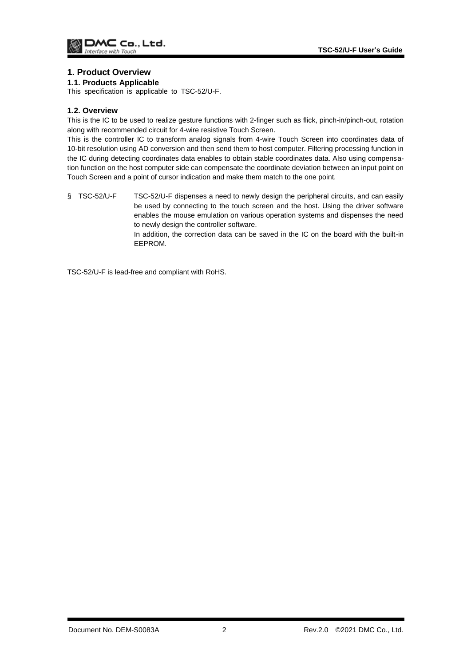### <span id="page-2-0"></span>**1. Product Overview**

### <span id="page-2-1"></span>**1.1. Products Applicable**

This specification is applicable to TSC-52/U-F.

### <span id="page-2-2"></span>**1.2. Overview**

This is the IC to be used to realize gesture functions with 2-finger such as flick, pinch-in/pinch-out, rotation along with recommended circuit for 4-wire resistive Touch Screen.

This is the controller IC to transform analog signals from 4-wire Touch Screen into coordinates data of 10-bit resolution using AD conversion and then send them to host computer. Filtering processing function in the IC during detecting coordinates data enables to obtain stable coordinates data. Also using compensation function on the host computer side can compensate the coordinate deviation between an input point on Touch Screen and a point of cursor indication and make them match to the one point.

§ TSC-52/U-F TSC-52/U-F dispenses a need to newly design the peripheral circuits, and can easily be used by connecting to the touch screen and the host. Using the driver software enables the mouse emulation on various operation systems and dispenses the need to newly design the controller software.

In addition, the correction data can be saved in the IC on the board with the built-in EEPROM.

TSC-52/U-F is lead-free and compliant with RoHS.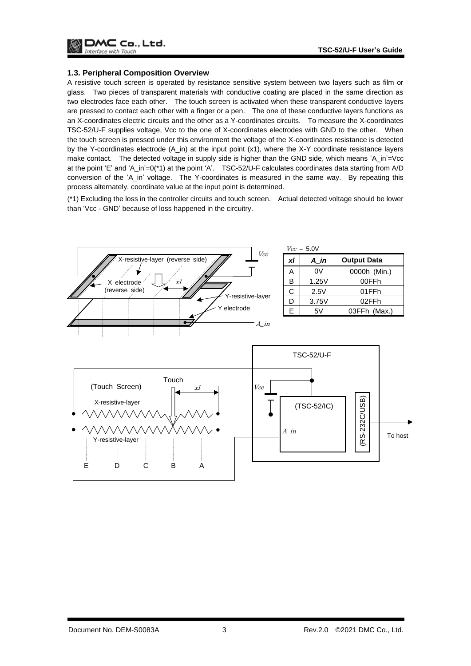

#### <span id="page-3-0"></span>**1.3. Peripheral Composition Overview**

A resistive touch screen is operated by resistance sensitive system between two layers such as film or glass. Two pieces of transparent materials with conductive coating are placed in the same direction as two electrodes face each other. The touch screen is activated when these transparent conductive layers are pressed to contact each other with a finger or a pen. The one of these conductive layers functions as an X-coordinates electric circuits and the other as a Y-coordinates circuits. To measure the X-coordinates TSC-52/U-F supplies voltage, Vcc to the one of X-coordinates electrodes with GND to the other. When the touch screen is pressed under this environment the voltage of the X-coordinates resistance is detected by the Y-coordinates electrode (A\_in) at the input point (x1), where the X-Y coordinate resistance layers make contact. The detected voltage in supply side is higher than the GND side, which means 'A\_in'=Vcc at the point 'E' and 'A\_in'=0(\*1) at the point 'A'. TSC-52/U-F calculates coordinates data starting from A/D conversion of the 'A\_in' voltage. The Y-coordinates is measured in the same way. By repeating this process alternately, coordinate value at the input point is determined.

(\*1) Excluding the loss in the controller circuits and touch screen. Actual detected voltage should be lower than 'Vcc - GND' because of loss happened in the circuitry.

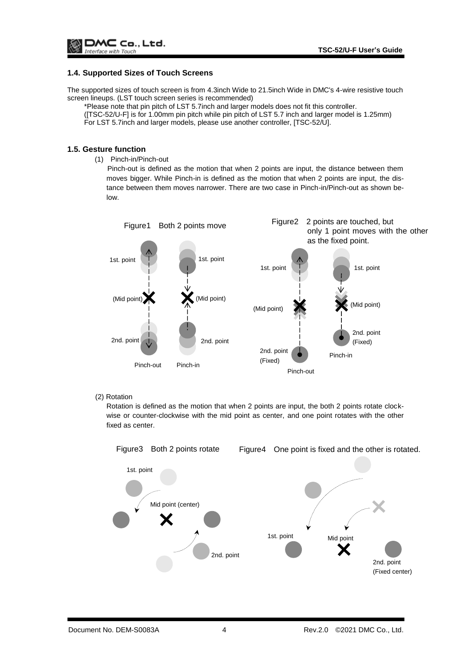### <span id="page-4-0"></span>**1.4. Supported Sizes of Touch Screens**

The supported sizes of touch screen is from 4.3inch Wide to 21.5inch Wide in DMC's 4-wire resistive touch screen lineups. (LST touch screen series is recommended)

\*Please note that pin pitch of LST 5.7inch and larger models does not fit this controller.

([TSC-52/U-F] is for 1.00mm pin pitch while pin pitch of LST 5.7 inch and larger model is 1.25mm) For LST 5.7inch and larger models, please use another controller, [TSC-52/U].

#### <span id="page-4-1"></span>**1.5. Gesture function**

(1) Pinch-in/Pinch-out

Pinch-out is defined as the motion that when 2 points are input, the distance between them moves bigger. While Pinch-in is defined as the motion that when 2 points are input, the distance between them moves narrower. There are two case in Pinch-in/Pinch-out as shown below.



#### (2) Rotation

Rotation is defined as the motion that when 2 points are input, the both 2 points rotate clockwise or counter-clockwise with the mid point as center, and one point rotates with the other fixed as center.

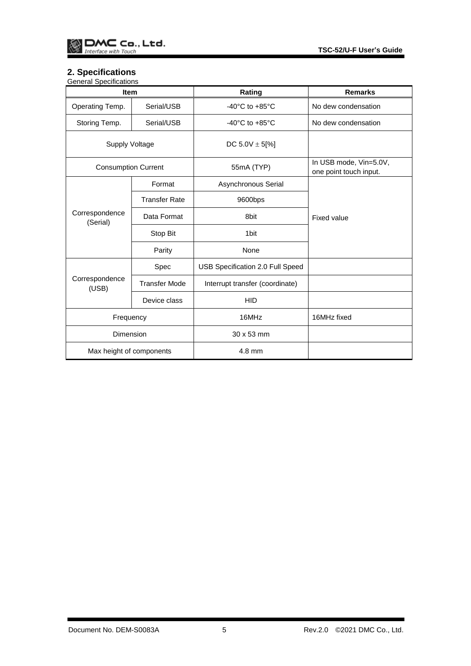# <span id="page-5-0"></span>**2. Specifications**

| <b>General Specifications</b> |                      |                                      |                                                  |  |
|-------------------------------|----------------------|--------------------------------------|--------------------------------------------------|--|
| <b>Item</b>                   |                      | Rating                               | <b>Remarks</b>                                   |  |
| Operating Temp.               | Serial/USB           | -40 $^{\circ}$ C to +85 $^{\circ}$ C | No dew condensation                              |  |
| Storing Temp.                 | Serial/USB           | -40 $^{\circ}$ C to +85 $^{\circ}$ C | No dew condensation                              |  |
| <b>Supply Voltage</b>         |                      | DC 5.0V $\pm$ 5[%]                   |                                                  |  |
| <b>Consumption Current</b>    |                      | 55mA (TYP)                           | In USB mode, Vin=5.0V,<br>one point touch input. |  |
|                               | Format               | Asynchronous Serial                  | Fixed value                                      |  |
| Correspondence<br>(Serial)    | <b>Transfer Rate</b> | 9600bps                              |                                                  |  |
|                               | Data Format          | 8bit                                 |                                                  |  |
|                               | Stop Bit             | 1 <sub>bit</sub>                     |                                                  |  |
|                               | Parity               | None                                 |                                                  |  |
|                               | Spec                 | USB Specification 2.0 Full Speed     |                                                  |  |
| Correspondence<br>(USB)       | <b>Transfer Mode</b> | Interrupt transfer (coordinate)      |                                                  |  |
|                               | Device class         | <b>HID</b>                           |                                                  |  |
| Frequency                     |                      | 16MHz                                | 16MHz fixed                                      |  |
| Dimension                     |                      | 30 x 53 mm                           |                                                  |  |
| Max height of components      |                      | 4.8 mm                               |                                                  |  |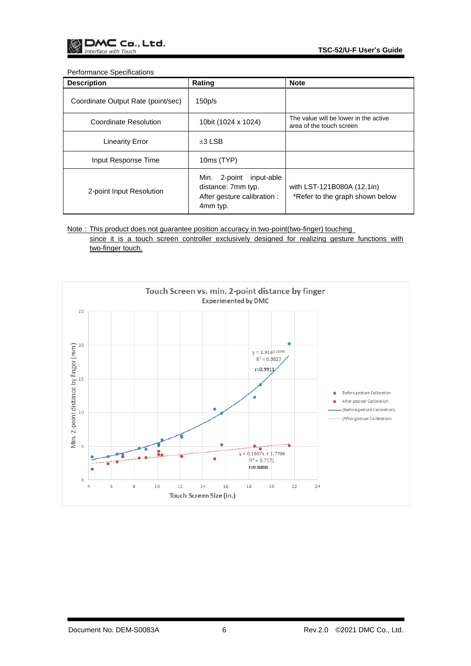#### Performance Specifications

| <b>Description</b>                 | Rating                                                                                         | <b>Note</b>                                                       |
|------------------------------------|------------------------------------------------------------------------------------------------|-------------------------------------------------------------------|
| Coordinate Output Rate (point/sec) | 150p/s                                                                                         |                                                                   |
| Coordinate Resolution              | 10bit (1024 x 1024)                                                                            | The value will be lower in the active<br>area of the touch screen |
| <b>Linearity Error</b>             | $\pm 3$ LSB                                                                                    |                                                                   |
| Input Response Time                | 10ms (TYP)                                                                                     |                                                                   |
| 2-point Input Resolution           | input-able<br>Min.<br>2-point<br>distance: 7mm typ.<br>After gesture calibration :<br>4mm typ. | with LST-121B080A (12.1in)<br>*Refer to the graph shown below     |

Note: This product does not guarantee position accuracy in two-point(two-finger) touching since it is a touch screen controller exclusively designed for realizing gesture functions with two-finger touch.

Touch Screen vs. min. 2-point distance by finger Experimented by DMC  $25$ Min. 2-point distance by finger (mm)<br> $\frac{1}{6}$ <br> $\frac{1}{6}$  $y = 1.91e^{0.1056x}$  $R^2 = 0.9827$  $r = 0.9913$ Beforegesture Calibration ò After gestuer Calibration  $\bullet$ ٠ - (Beforegesture Calibration) ........ (After gestuer Calibration)  $y = 0.1667x + 1.7706$ ٠ oma.  $\bullet$  $R^2 = 0.7171$  $r = 0.8468$  $\bullet$  $\circ$  $10$ 12  $14\,$  $16\,$  $18\,$ 20 22 24 4  $_{\rm 6}$ 8 Touch Screen Size (in.)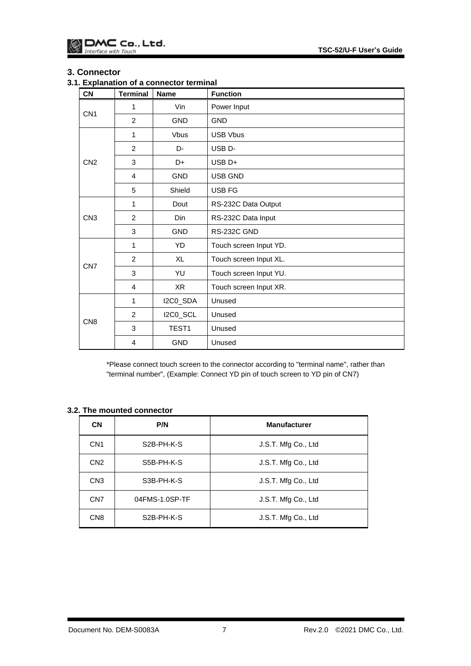# <span id="page-7-0"></span>**3. Connector**

# <span id="page-7-1"></span>**3.1. Explanation of a connector terminal**

| <b>CN</b>       | <b>Terminal</b> | <b>Name</b>       | <b>Function</b>        |
|-----------------|-----------------|-------------------|------------------------|
| CN <sub>1</sub> | 1               | Vin               | Power Input            |
|                 | 2               | <b>GND</b>        | <b>GND</b>             |
| CN <sub>2</sub> | 1               | <b>Vbus</b>       | <b>USB Vbus</b>        |
|                 | 2               | D-                | USB <sub>D</sub> -     |
|                 | 3               | D+                | USB <sub>D+</sub>      |
|                 | 4               | <b>GND</b>        | <b>USB GND</b>         |
|                 | 5               | Shield            | <b>USB FG</b>          |
| CN <sub>3</sub> | 1               | Dout              | RS-232C Data Output    |
|                 | $\overline{2}$  | Din               | RS-232C Data Input     |
|                 | 3               | <b>GND</b>        | RS-232C GND            |
|                 | 1               | YD                | Touch screen Input YD. |
|                 | 2               | <b>XL</b>         | Touch screen Input XL. |
| CN <sub>7</sub> | 3               | YU                | Touch screen Input YU. |
|                 | $\overline{4}$  | X <sub>R</sub>    | Touch screen Input XR. |
|                 | 1               | I2C0_SDA          | Unused                 |
| CN <sub>8</sub> | $\overline{2}$  | I2C0_SCL          | Unused                 |
|                 | 3               | TEST <sub>1</sub> | Unused                 |
|                 | 4               | <b>GND</b>        | Unused                 |

\*Please connect touch screen to the connector according to "terminal name", rather than "terminal number", (Example: Connect YD pin of touch screen to YD pin of CN7)

# <span id="page-7-2"></span>**3.2. The mounted connector**

| <b>CN</b>       | P/N                     | <b>Manufacturer</b> |
|-----------------|-------------------------|---------------------|
| CN <sub>1</sub> | S <sub>2</sub> B-PH-K-S | J.S.T. Mfg Co., Ltd |
| CN <sub>2</sub> | S5B-PH-K-S              | J.S.T. Mfg Co., Ltd |
| CN <sub>3</sub> | S3B-PH-K-S              | J.S.T. Mfg Co., Ltd |
| CN <sub>7</sub> | 04FMS-1.0SP-TF          | J.S.T. Mfg Co., Ltd |
| CN <sub>8</sub> | S <sub>2</sub> B-PH-K-S | J.S.T. Mfg Co., Ltd |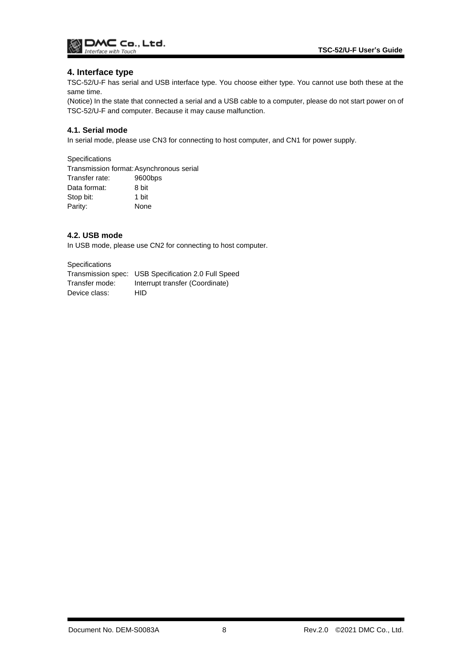

### <span id="page-8-0"></span>**4. Interface type**

TSC-52/U-F has serial and USB interface type. You choose either type. You cannot use both these at the same time.

(Notice) In the state that connected a serial and a USB cable to a computer, please do not start power on of TSC-52/U-F and computer. Because it may cause malfunction.

# <span id="page-8-1"></span>**4.1. Serial mode**

In serial mode, please use CN3 for connecting to host computer, and CN1 for power supply.

**Specifications** 

Transmission format:Asynchronous serial Transfer rate: 9600bps Data format: 8 bit Stop bit: 1 bit Parity: None

### <span id="page-8-2"></span>**4.2. USB mode**

In USB mode, please use CN2 for connecting to host computer.

**Specifications** 

Transmission spec: USB Specification 2.0 Full Speed Transfer mode: Interrupt transfer (Coordinate) Device class: HID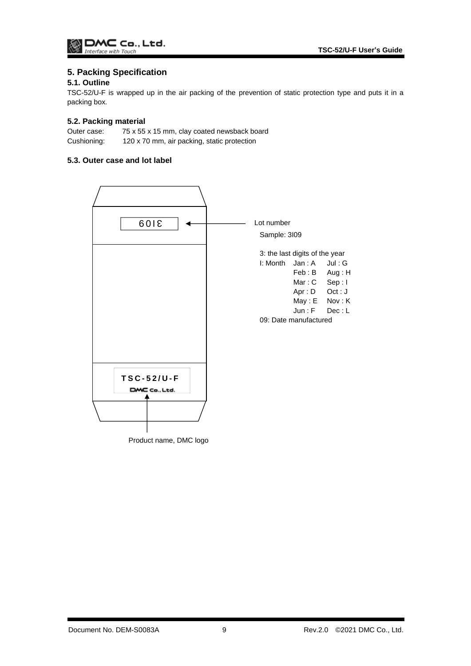# <span id="page-9-0"></span>**5. Packing Specification**

# <span id="page-9-1"></span>**5.1. Outline**

TSC-52/U-F is wrapped up in the air packing of the prevention of static protection type and puts it in a packing box.

### <span id="page-9-2"></span>**5.2. Packing material**

Outer case: 75 x 55 x 15 mm, clay coated newsback board Cushioning: 120 x 70 mm, air packing, static protection

# <span id="page-9-3"></span>**5.3. Outer case and lot label**

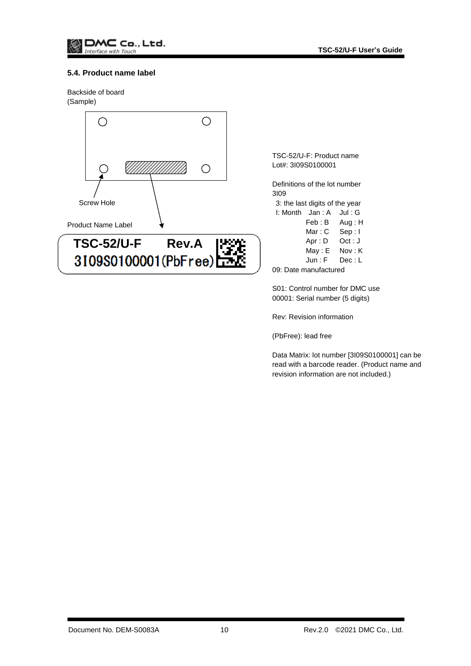### <span id="page-10-0"></span>**5.4. Product name label**

Backside of board (Sample)



TSC-52/U-F: Product name Lot#: 3I09S0100001

Definitions of the lot number 3I09 3: the last digits of the year I: Month Jan : A Jul : G Feb : B Aug : H

Mar: C Sep: I Apr : D Oct : J May: E Nov: K Jun : F Dec : L

09: Date manufactured

S01: Control number for DMC use 00001: Serial number (5 digits)

Rev: Revision information

(PbFree): lead free

Data Matrix: lot number [3I09S0100001] can be read with a barcode reader. (Product name and revision information are not included.)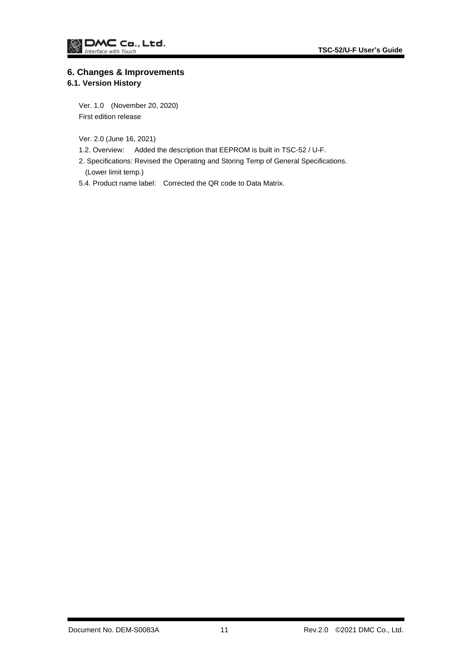# <span id="page-11-0"></span>**6. Changes & Improvements**

# <span id="page-11-1"></span>**6.1. Version History**

Ver. 1.0 (November 20, 2020) First edition release

Ver. 2.0 (June 16, 2021)

1.2. Overview: Added the description that EEPROM is built in TSC-52 / U-F.

2. Specifications: Revised the Operating and Storing Temp of General Specifications. (Lower limit temp.)

5.4. Product name label: Corrected the QR code to Data Matrix.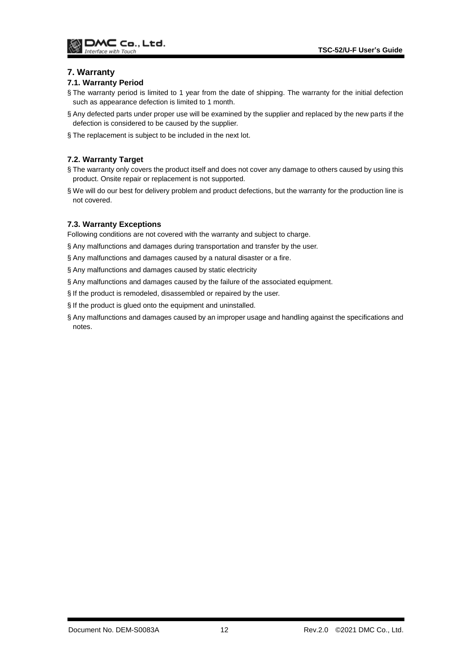# <span id="page-12-0"></span>**7. Warranty**

### <span id="page-12-1"></span>**7.1. Warranty Period**

- § The warranty period is limited to 1 year from the date of shipping. The warranty for the initial defection such as appearance defection is limited to 1 month.
- § Any defected parts under proper use will be examined by the supplier and replaced by the new parts if the defection is considered to be caused by the supplier.
- § The replacement is subject to be included in the next lot.

# <span id="page-12-2"></span>**7.2. Warranty Target**

- § The warranty only covers the product itself and does not cover any damage to others caused by using this product. Onsite repair or replacement is not supported.
- § We will do our best for delivery problem and product defections, but the warranty for the production line is not covered.

# <span id="page-12-3"></span>**7.3. Warranty Exceptions**

Following conditions are not covered with the warranty and subject to charge.

- § Any malfunctions and damages during transportation and transfer by the user.
- § Any malfunctions and damages caused by a natural disaster or a fire.
- § Any malfunctions and damages caused by static electricity
- § Any malfunctions and damages caused by the failure of the associated equipment.
- § If the product is remodeled, disassembled or repaired by the user.
- § If the product is glued onto the equipment and uninstalled.
- § Any malfunctions and damages caused by an improper usage and handling against the specifications and notes.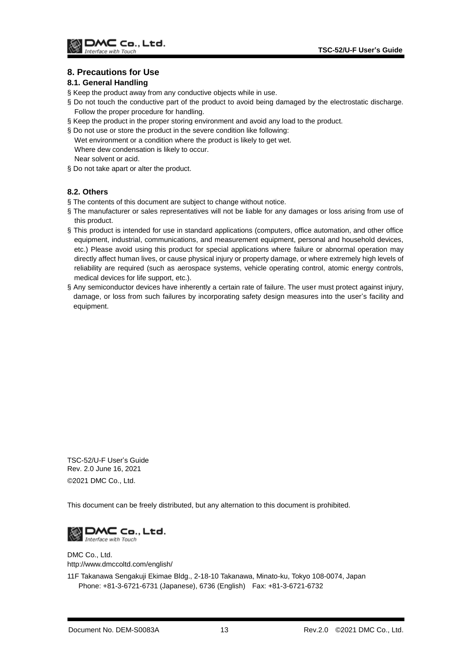# <span id="page-13-0"></span>**8. Precautions for Use**

### <span id="page-13-1"></span>**8.1. General Handling**

- § Keep the product away from any conductive objects while in use.
- § Do not touch the conductive part of the product to avoid being damaged by the electrostatic discharge. Follow the proper procedure for handling.
- § Keep the product in the proper storing environment and avoid any load to the product.
- § Do not use or store the product in the severe condition like following:
- Wet environment or a condition where the product is likely to get wet. Where dew condensation is likely to occur. Near solvent or acid.
- § Do not take apart or alter the product.

### <span id="page-13-2"></span>**8.2. Others**

- § The contents of this document are subject to change without notice.
- § The manufacturer or sales representatives will not be liable for any damages or loss arising from use of this product.
- § This product is intended for use in standard applications (computers, office automation, and other office equipment, industrial, communications, and measurement equipment, personal and household devices, etc.) Please avoid using this product for special applications where failure or abnormal operation may directly affect human lives, or cause physical injury or property damage, or where extremely high levels of reliability are required (such as aerospace systems, vehicle operating control, atomic energy controls, medical devices for life support, etc.).
- § Any semiconductor devices have inherently a certain rate of failure. The user must protect against injury, damage, or loss from such failures by incorporating safety design measures into the user's facility and equipment.

TSC-52/U-F User's Guide Rev. 2.0 June 16, 2021 ©2021 DMC Co., Ltd.

This document can be freely distributed, but any alternation to this document is prohibited.



DMC Co., Ltd. http://www.dmccoltd.com/english/

11F Takanawa Sengakuji Ekimae Bldg., 2-18-10 Takanawa, Minato-ku, Tokyo 108-0074, Japan Phone: +81-3-6721-6731 (Japanese), 6736 (English) Fax: +81-3-6721-6732